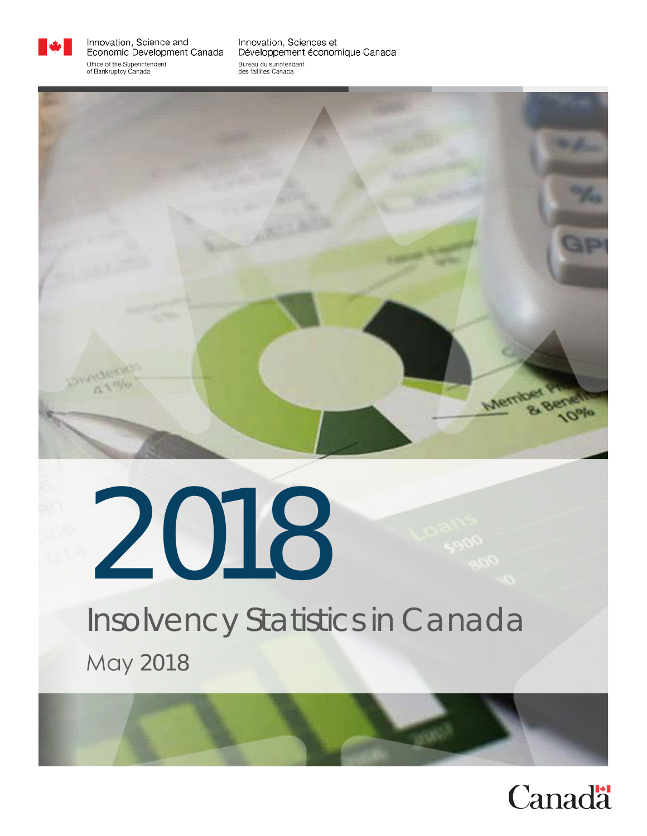

Innovation, Science and Economic Development Canada Office of the Superintendent of Bankruptcy Canada

Innovation, Sciences et Développement économique Canada Bureau du surintendant des faillites Canada



# 2018 Insolvency Statistics in Canada May 2018

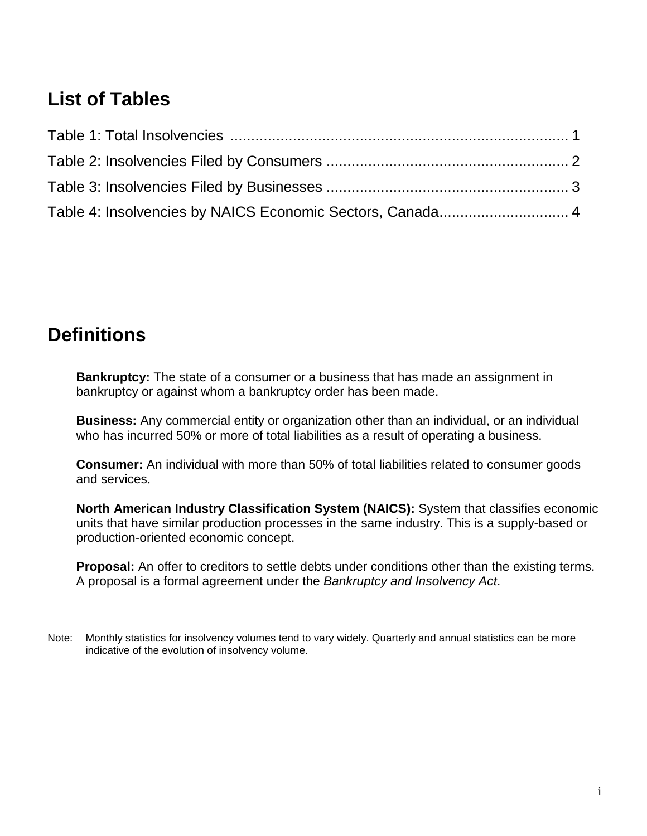# **List of Tables**

| Table 4: Insolvencies by NAICS Economic Sectors, Canada 4 |  |
|-----------------------------------------------------------|--|

# **Definitions**

**Bankruptcy:** The state of a consumer or a business that has made an assignment in bankruptcy or against whom a bankruptcy order has been made.

**Business:** Any commercial entity or organization other than an individual, or an individual who has incurred 50% or more of total liabilities as a result of operating a business.

**Consumer:** An individual with more than 50% of total liabilities related to consumer goods and services.

**North American Industry Classification System (NAICS):** System that classifies economic units that have similar production processes in the same industry. This is a supply-based or production-oriented economic concept.

**Proposal:** An offer to creditors to settle debts under conditions other than the existing terms. A proposal is a formal agreement under the *Bankruptcy and Insolvency Act*.

Note: Monthly statistics for insolvency volumes tend to vary widely. Quarterly and annual statistics can be more indicative of the evolution of insolvency volume.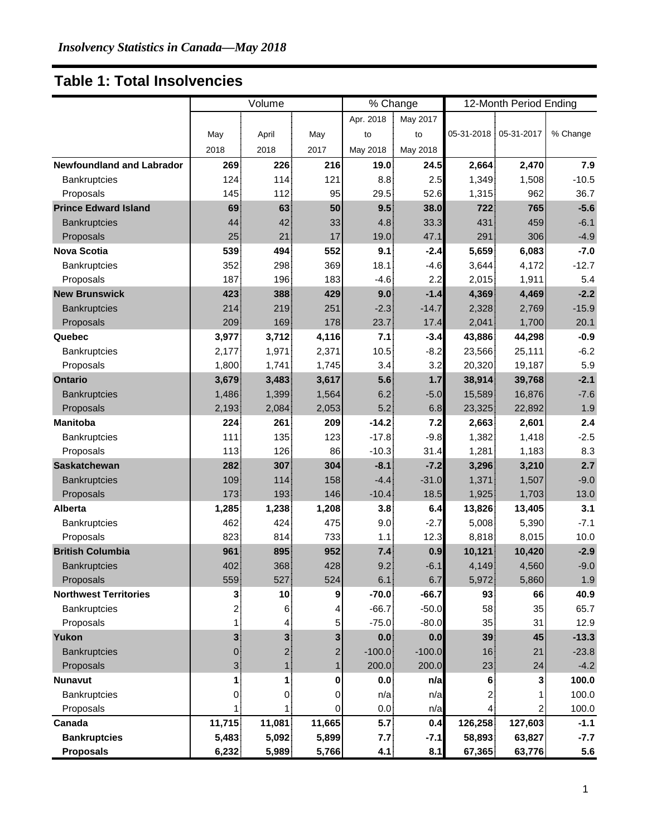#### **Table 1: Total Insolvencies**

|                                  |                | Volume         |        | % Change  |          | 12-Month Period Ending |         |          |
|----------------------------------|----------------|----------------|--------|-----------|----------|------------------------|---------|----------|
|                                  |                |                |        | Apr. 2018 | May 2017 |                        |         |          |
|                                  | May            | April          | May    | to        | to       | 05-31-2018 05-31-2017  |         | % Change |
|                                  | 2018           | 2018           | 2017   | May 2018  | May 2018 |                        |         |          |
| <b>Newfoundland and Labrador</b> | 269            | 226            | 216    | 19.0      | 24.5     | 2,664                  | 2,470   | 7.9      |
| Bankruptcies                     | 124            | 114            | 121    | 8.8       | 2.5      | 1,349                  | 1,508   | $-10.5$  |
| Proposals                        | 145!           | 112            | 95     | 29.5      | 52.6     | 1,315                  | 962     | 36.7     |
| <b>Prince Edward Island</b>      | 69             | 63             | 50     | 9.5       | 38.0     | 722                    | 765     | $-5.6$   |
| Bankruptcies                     | 44             | 42             | 33     | 4.8       | 33.3     | 431                    | 459     | $-6.1$   |
| Proposals                        | 25             | 21             | 17     | 19.0      | 47.1     | 291                    | 306     | $-4.9$   |
| <b>Nova Scotia</b>               | 539            | 494            | 552    | 9.1       | $-2.4$   | 5,659                  | 6,083   | $-7.0$   |
| <b>Bankruptcies</b>              | 352            | 298            | 369    | 18.1      | $-4.6$   | 3,644                  | 4,172   | $-12.7$  |
| Proposals                        | 187            | 196            | 183    | $-4.6$    | 2.2      | 2,015                  | 1,911   | 5.4      |
| <b>New Brunswick</b>             | 423            | 388            | 429    | 9.0       | $-1.4$   | 4,369                  | 4,469   | $-2.2$   |
| <b>Bankruptcies</b>              | 214            | 219            | 251    | $-2.3$    | $-14.7$  | 2,328                  | 2,769   | $-15.9$  |
| Proposals                        | 209            | 169            | 178    | 23.7      | 17.4     | 2,041                  | 1,700   | 20.1     |
| Quebec                           | 3,977          | 3,712          | 4,116  | 7.1       | $-3.4$   | 43,886                 | 44,298  | $-0.9$   |
| Bankruptcies                     | 2,177          | 1,971          | 2,371  | 10.5      | $-8.2$   | 23,566                 | 25,111  | $-6.2$   |
| Proposals                        | 1,800          | 1,741          | 1,745  | 3.4       | 3.2      | 20,320                 | 19,187  | 5.9      |
| <b>Ontario</b>                   | 3,679          | 3,483          | 3,617  | 5.6       | 1.7      | 38,914                 | 39,768  | $-2.1$   |
| <b>Bankruptcies</b>              | 1,486          | 1,399          | 1,564  | 6.2       | $-5.0$   | 15,589                 | 16,876  | $-7.6$   |
| Proposals                        | 2,193          | 2,084          | 2,053  | 5.2       | 6.8      | 23,325                 | 22,892  | 1.9      |
| <b>Manitoba</b>                  | 224            | 261            | 209    | $-14.2$   | 7.2      | 2,663                  | 2,601   | 2.4      |
| Bankruptcies                     | 111            | 135            | 123    | $-17.8$   | $-9.8$   | 1,382                  | 1,418   | $-2.5$   |
| Proposals                        | 113            | 126            | 86     | $-10.3$   | 31.4     | 1,281                  | 1,183   | 8.3      |
| <b>Saskatchewan</b>              | 282            | 307            | 304    | $-8.1$    | $-7.2$   | 3,296                  | 3,210   | 2.7      |
| <b>Bankruptcies</b>              | 109            | 114            | 158    | $-4.4$    | $-31.0$  | 1,371                  | 1,507   | $-9.0$   |
| Proposals                        | 173            | 193            | 146    | $-10.4$   | 18.5     | 1,925                  | 1,703   | 13.0     |
| <b>Alberta</b>                   | 1,285          | 1,238          | 1,208  | 3.8       | 6.4      | 13,826                 | 13,405  | 3.1      |
| Bankruptcies                     | 462            | 424            | 475    | 9.0       | $-2.7$   | 5,008                  | 5,390   | $-7.1$   |
| Proposals                        | 823            | 814            | 733    | 1.1       | 12.3     | 8,818                  | 8,015   | 10.0     |
| <b>British Columbia</b>          | 961            | 895            | 952    | 7.4       | 0.9      | 10,121                 | 10,420  | $-2.9$   |
| <b>Bankruptcies</b>              | 402            | 368            | 428    | 9.2       | $-6.1$   | 4,149                  | 4,560   | $-9.0$   |
| Proposals                        | 559            | 527            | 524    | 6.1       | 6.7      | 5,972                  | 5,860   | 1.9      |
| <b>Northwest Territories</b>     | 3 <sub>l</sub> | 10             | 9      | $-70.0$   | $-66.7$  | 93                     | 66      | 40.9     |
| Bankruptcies                     | 2              | 6              | 4      | $-66.7$   | $-50.0$  | 58                     | 35      | 65.7     |
| Proposals                        | 1.             | $\overline{4}$ | 5      | $-75.0$   | $-80.0$  | 35                     | 31      | 12.9     |
| Yukon                            | 3 <sup>1</sup> | 3 <sup>1</sup> | 3      | 0.0       | 0.0      | 39                     | 45      | $-13.3$  |
| <b>Bankruptcies</b>              | $\overline{0}$ | 2 <sup>1</sup> | 2      | $-100.0$  | $-100.0$ | 16 <sup>1</sup>        | 21      | $-23.8$  |
| Proposals                        | 3 <sup>1</sup> | 1              |        | 200.0     | 200.0    | 23                     | 24      | $-4.2$   |
| <b>Nunavut</b>                   | 11             | 1              | 0      | 0.0       | n/a      | 6 <sup>1</sup>         | 3       | 100.0    |
| Bankruptcies                     | $\overline{0}$ | 0              | 0      | n/a       | n/a      | 2.                     |         | 100.0    |
| Proposals                        |                |                | 0      | 0.0       | n/a      | 4                      |         | 100.0    |
| Canada                           | 11,715         | 11,081         | 11,665 | 5.7       | 0.4      | 126,258                | 127,603 | $-1.1$   |
| <b>Bankruptcies</b>              | 5,483          | 5,092          | 5,899  | 7.7       | $-7.1$   | 58,893                 | 63,827  | $-7.7$   |
| <b>Proposals</b>                 | 6,232          | 5,989          | 5,766  | 4.1       | 8.1      | 67,365                 | 63,776  | 5.6      |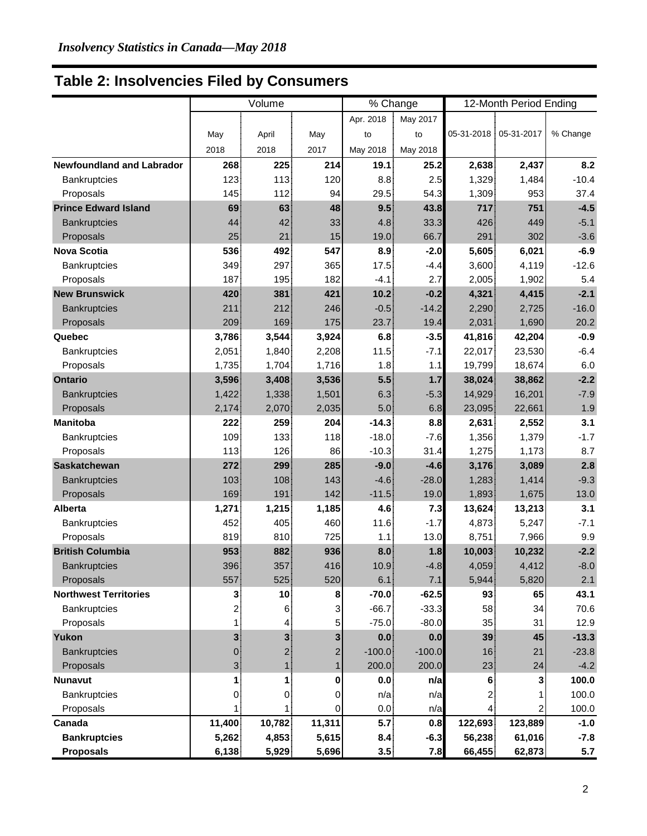## **Table 2: Insolvencies Filed by Consumers**

|                                  | Volume         |                |        | % Change  |          |                       | 12-Month Period Ending |          |
|----------------------------------|----------------|----------------|--------|-----------|----------|-----------------------|------------------------|----------|
|                                  |                |                |        | Apr. 2018 | May 2017 |                       |                        |          |
|                                  | May            | April          | May    | to        | to       | 05-31-2018 05-31-2017 |                        | % Change |
|                                  | 2018           | 2018           | 2017   | May 2018  | May 2018 |                       |                        |          |
| <b>Newfoundland and Labrador</b> | 268            | 225            | 214    | 19.1      | 25.2     | 2,638                 | 2,437                  | 8.2      |
| Bankruptcies                     | 123            | 113            | 120    | 8.8       | 2.5      | 1,329                 | 1,484                  | $-10.4$  |
| Proposals                        | 145            | 112            | 94     | 29.5      | 54.3     | 1,309                 | 953                    | 37.4     |
| <b>Prince Edward Island</b>      | 69             | 63             | 48     | 9.5       | 43.8     | 717                   | 751                    | $-4.5$   |
| <b>Bankruptcies</b>              | 44             | 42             | 33     | 4.8       | 33.3     | 426                   | 449                    | $-5.1$   |
| Proposals                        | 25             | 21             | 15     | 19.0      | 66.7     | 291                   | 302                    | $-3.6$   |
| <b>Nova Scotia</b>               | 536            | 492            | 547    | 8.9       | $-2.0$   | 5,605                 | 6,021                  | $-6.9$   |
| <b>Bankruptcies</b>              | 349            | 297            | 365    | 17.5      | $-4.4$   | 3,600                 | 4,119                  | $-12.6$  |
| Proposals                        | 187            | 195            | 182    | $-4.1$    | 2.7      | 2,005                 | 1,902                  | 5.4      |
| <b>New Brunswick</b>             | 420            | 381            | 421    | 10.2      | $-0.2$   | 4,321                 | 4,415                  | $-2.1$   |
| <b>Bankruptcies</b>              | 211            | 212            | 246    | $-0.5$    | $-14.2$  | 2,290                 | 2,725                  | $-16.0$  |
| Proposals                        | 209            | 169            | 175    | 23.7      | 19.4     | 2,031                 | 1,690                  | 20.2     |
| Quebec                           | 3,786          | 3,544          | 3,924  | 6.8       | $-3.5$   | 41,816                | 42,204                 | $-0.9$   |
| Bankruptcies                     | 2,051          | 1,840          | 2,208  | 11.5      | $-7.1$   | 22,017                | 23,530                 | $-6.4$   |
| Proposals                        | 1,735          | 1,704          | 1,716  | 1.8       | 1.1      | 19,799                | 18,674                 | 6.0      |
| <b>Ontario</b>                   | 3,596          | 3,408          | 3,536  | 5.5       | $1.7$    | 38,024                | 38,862                 | $-2.2$   |
| <b>Bankruptcies</b>              | 1,422          | 1,338          | 1,501  | 6.3       | $-5.3$   | 14,929                | 16,201                 | $-7.9$   |
| Proposals                        | 2,174          | 2,070          | 2,035  | 5.0       | 6.8      | 23,095                | 22,661                 | 1.9      |
| <b>Manitoba</b>                  | 222            | 259            | 204    | $-14.3$   | 8.8      | 2,631                 | 2,552                  | 3.1      |
| Bankruptcies                     | 109            | 133            | 118    | $-18.0$   | $-7.6$   | 1,356                 | 1,379                  | $-1.7$   |
| Proposals                        | 113            | 126            | 86     | $-10.3$   | 31.4     | 1,275                 | 1,173                  | 8.7      |
| <b>Saskatchewan</b>              | 272            | 299            | 285    | $-9.0$    | $-4.6$   | 3,176                 | 3,089                  | 2.8      |
| <b>Bankruptcies</b>              | 103            | 108            | 143    | $-4.6$    | $-28.0$  | 1,283                 | 1,414                  | $-9.3$   |
| Proposals                        | 169            | 191            | 142    | $-11.5$   | 19.0     | 1,893                 | 1,675                  | 13.0     |
| <b>Alberta</b>                   | 1,271          | 1,215          | 1,185  | 4.6       | 7.3      | 13,624                | 13,213                 | 3.1      |
| Bankruptcies                     | 452            | 405            | 460    | 11.6      | $-1.7$   | 4,873                 | 5,247                  | $-7.1$   |
| Proposals                        | 819            | 810            | 725    | 1.1       | 13.0     | 8,751                 | 7,966                  | 9.9      |
| <b>British Columbia</b>          | 953            | 882            | 936    | 8.0       | 1.8      | 10,003                | 10,232                 | $-2.2$   |
| <b>Bankruptcies</b>              | 396            | 357            | 416    | 10.9      | $-4.8$   | 4,059                 | 4,412                  | $-8.0$   |
| Proposals                        | 557            | 525            | 520    | 6.1       | 7.1      | 5,944                 | 5,820                  | 2.1      |
| <b>Northwest Territories</b>     | 3 <sub>l</sub> | 10             | 8      | $-70.0$   | $-62.5$  | 93                    | 65                     | 43.1     |
| Bankruptcies                     | 2              | 6              | 3      | $-66.7$   | $-33.3$  | 58                    | 34                     | 70.6     |
| Proposals                        |                | $\overline{4}$ | 5      | $-75.0$   | $-80.0$  | 35                    | 31                     | 12.9     |
| Yukon                            | 3 <sup>1</sup> | 3 <sup>1</sup> | 3      | 0.0       | 0.0      | 39                    | 45                     | $-13.3$  |
| <b>Bankruptcies</b>              | $\overline{0}$ | $\overline{2}$ | 2      | $-100.0$  | $-100.0$ | 16 <sup>1</sup>       | 21                     | $-23.8$  |
| Proposals                        | 31             |                |        | 200.0     | 200.0    | 23                    | 24                     | $-4.2$   |
| <b>Nunavut</b>                   | 1              | 1              | 0      | 0.0       | n/a      | 6                     | 3                      | 100.0    |
| Bankruptcies                     | $\overline{0}$ | 0              | 0      | n/a       | n/a      | 2                     |                        | 100.0    |
| Proposals                        |                |                | 0      | 0.0       | n/a      | 4                     |                        | 100.0    |
| Canada                           | 11,400         | 10,782         | 11,311 | 5.7       | 0.8      | 122,693               | 123,889                | $-1.0$   |
| <b>Bankruptcies</b>              | 5,262          | 4,853          | 5,615  | 8.4       | $-6.3$   | 56,238                | 61,016                 | $-7.8$   |
| <b>Proposals</b>                 | 6,138          | 5,929          | 5,696  | 3.5       | 7.8      | 66,455                | 62,873                 | 5.7      |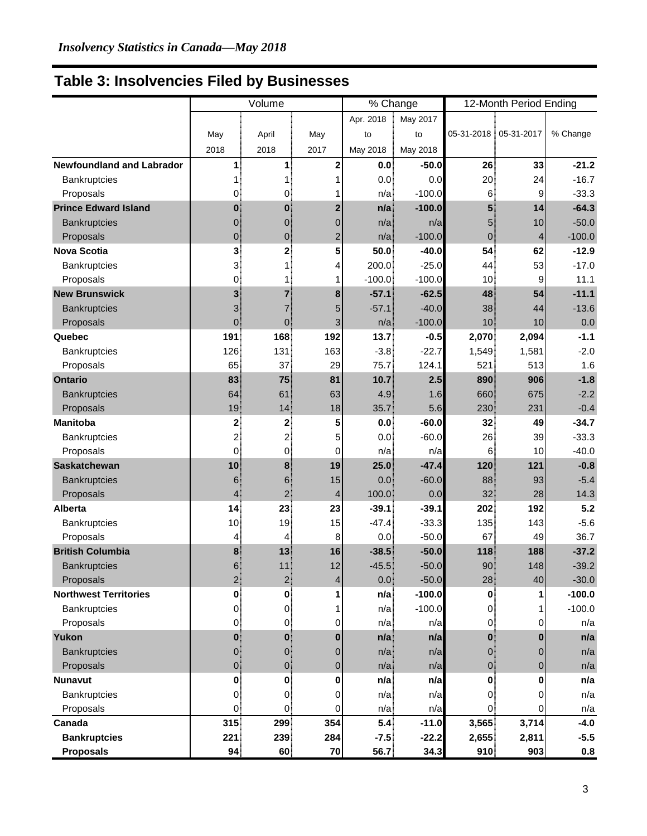## **Table 3: Insolvencies Filed by Businesses**

|                                  | Volume          |                   |                | % Change  |          | 12-Month Period Ending |       |          |
|----------------------------------|-----------------|-------------------|----------------|-----------|----------|------------------------|-------|----------|
|                                  |                 |                   |                | Apr. 2018 | May 2017 |                        |       |          |
|                                  | May             | April             | May            | to        | to       | 05-31-2018 05-31-2017  |       | % Change |
|                                  | 2018            | 2018              | 2017           | May 2018  | May 2018 |                        |       |          |
| <b>Newfoundland and Labrador</b> | 1.              | 1                 | $\mathbf{2}$   | 0.0       | $-50.0$  | 26                     | 33    | $-21.2$  |
| Bankruptcies                     |                 | 1                 |                | 0.0       | 0.0      | 20 <sub>1</sub>        | 24    | $-16.7$  |
| Proposals                        | 0               | 0                 |                | n/a       | $-100.0$ | 6 <sup>1</sup>         | 9     | $-33.3$  |
| <b>Prince Edward Island</b>      | $\mathbf{0}$    | $\mathbf{0}$      | $\overline{2}$ | n/a       | $-100.0$ | 5 <sup>1</sup>         | 14    | $-64.3$  |
| <b>Bankruptcies</b>              | $\overline{0}$  | $\mathbf{0}$      | $\overline{0}$ | n/a       | n/a      | 5 <sub>5</sub>         | 10    | $-50.0$  |
| Proposals                        | $\overline{0}$  | $\overline{0}$    | $\overline{c}$ | n/a       | $-100.0$ | 0 <sup>1</sup>         | 4     | $-100.0$ |
| <b>Nova Scotia</b>               | 31              | $\mathbf{2}$      | 5              | 50.0      | $-40.0$  | 54                     | 62    | $-12.9$  |
| Bankruptcies                     | 3.              | 1                 | 4              | 200.0     | $-25.0$  | 44 <sup>5</sup>        | 53    | $-17.0$  |
| Proposals                        | 0.              | 1                 | 1              | $-100.0$  | $-100.0$ | 10 <sup>1</sup>        | 9     | 11.1     |
| <b>New Brunswick</b>             | 3 <sup>1</sup>  | $\overline{7}$    | 8              | $-57.1$   | $-62.5$  | 48                     | 54    | $-11.1$  |
| <b>Bankruptcies</b>              | 3 <sup>1</sup>  | $\overline{7}$    | 5              | $-57.1$   | $-40.0$  | 38 <sup>1</sup>        | 44    | $-13.6$  |
| Proposals                        | 0 <sub>1</sub>  | $\mathbf{0}$      | 3              | n/a       | $-100.0$ | 10                     | 10    | 0.0      |
| Quebec                           | 191             | 168               | 192            | 13.7      | $-0.5$   | 2,070                  | 2,094 | $-1.1$   |
| Bankruptcies                     | 126             | 131               | 163            | $-3.8$    | $-22.7$  | 1,549                  | 1,581 | $-2.0$   |
| Proposals                        | 65              | 37                | 29             | 75.7      | 124.1    | 521                    | 513   | 1.6      |
| <b>Ontario</b>                   | 83              | 75                | 81             | 10.7      | 2.5      | 890                    | 906   | $-1.8$   |
| <b>Bankruptcies</b>              | 64              | 61                | 63             | 4.9       | 1.6      | 660                    | 675   | $-2.2$   |
| Proposals                        | 19 <sup>1</sup> | 14                | 18             | 35.7      | 5.6      | 230                    | 231   | $-0.4$   |
| <b>Manitoba</b>                  | 2 <sup>1</sup>  | 2 <sup>1</sup>    | 5              | 0.0       | $-60.0$  | 32 <sub>1</sub>        | 49    | $-34.7$  |
| Bankruptcies                     | 2 <sub>1</sub>  | $\overline{2}$    | 5              | 0.0       | $-60.0$  | $26^{\frac{1}{3}}$     | 39    | $-33.3$  |
| Proposals                        | $\overline{0}$  | $\overline{0}$    | 0              | n/a       | n/a      | 6 <sup>1</sup>         | 10    | $-40.0$  |
| <b>Saskatchewan</b>              | 10 <sup>1</sup> | 8 <sup>1</sup>    | 19             | 25.0      | $-47.4$  | 120                    | 121   | $-0.8$   |
| <b>Bankruptcies</b>              | 6               | 6 <sub>1</sub>    | 15             | 0.0       | $-60.0$  | 88                     | 93    | $-5.4$   |
| Proposals                        | $\overline{4}$  | $2^{\frac{1}{2}}$ | 4              | 100.0     | 0.0      | 32 <sub>1</sub>        | 28    | 14.3     |
| <b>Alberta</b>                   | 14              | 23                | 23             | $-39.1$   | $-39.1$  | 202                    | 192   | 5.2      |
| Bankruptcies                     | 10 <sup>1</sup> | 19                | 15             | $-47.4$   | $-33.3$  | 135                    | 143   | $-5.6$   |
| Proposals                        | 4               | 4                 | 8              | 0.0       | $-50.0$  | 67                     | 49    | 36.7     |
| <b>British Columbia</b>          | 8 <sub>1</sub>  | 13                | 16             | $-38.5$   | $-50.0$  | 118                    | 188   | $-37.2$  |
| <b>Bankruptcies</b>              | ี คิ            | 11                | 12             | $-45.5$   | $-50.0$  | 90                     | 148   | $-39.2$  |
| Proposals                        | 2 <sup>1</sup>  | 2 <sub>1</sub>    | 4              | 0.0       | $-50.0$  | 28                     | 40    | $-30.0$  |
| <b>Northwest Territories</b>     | $\mathbf{0}$    | $\mathbf{0}$      |                | n/a       | $-100.0$ | $\mathbf{0}$           | 1     | $-100.0$ |
| Bankruptcies                     | $\overline{0}$  | $\overline{0}$    |                | n/a       | $-100.0$ | $\overline{0}$         |       | $-100.0$ |
| Proposals                        | $\overline{0}$  | $\overline{0}$    | 0              | n/a       | n/a      | 0                      |       | n/a      |
| Yukon                            | $\mathbf{0}$    | $\mathbf{0}$      | $\bf{0}$       | n/a       | n/a      | $\mathbf{0}$           | 0     | n/a      |
| <b>Bankruptcies</b>              | 0.              | $\overline{0}$    | 0              | n/a       | n/a      | $\overline{0}$         |       | n/a      |
| Proposals                        | $\overline{0}$  | $\overline{0}$    | 0              | n/a       | n/a      | 0                      | 0     | n/a      |
| <b>Nunavut</b>                   | $\mathbf{0}$    | $\mathbf{0}$      | 0              | n/a       | n/a      | $\mathbf{0}$           | 0     | n/a      |
| Bankruptcies                     | $\overline{0}$  | $\overline{0}$    | 0              | n/a       | n/a      | $\overline{0}$         | 0     | n/a      |
| Proposals                        | 0 <sup>1</sup>  | $\overline{0}$    | 0              | n/a       | n/a      | 0                      | 0     | n/a      |
| Canada                           | 315             | 299               | 354            | 5.4       | $-11.0$  | 3,565                  | 3,714 | $-4.0$   |
| <b>Bankruptcies</b>              | 221             | 239               | 284            | $-7.5$    | $-22.2$  | 2,655                  | 2,811 | $-5.5$   |
| <b>Proposals</b>                 | 94              | 60                | 70             | 56.7      | 34.3     | 910                    | 903   | 0.8      |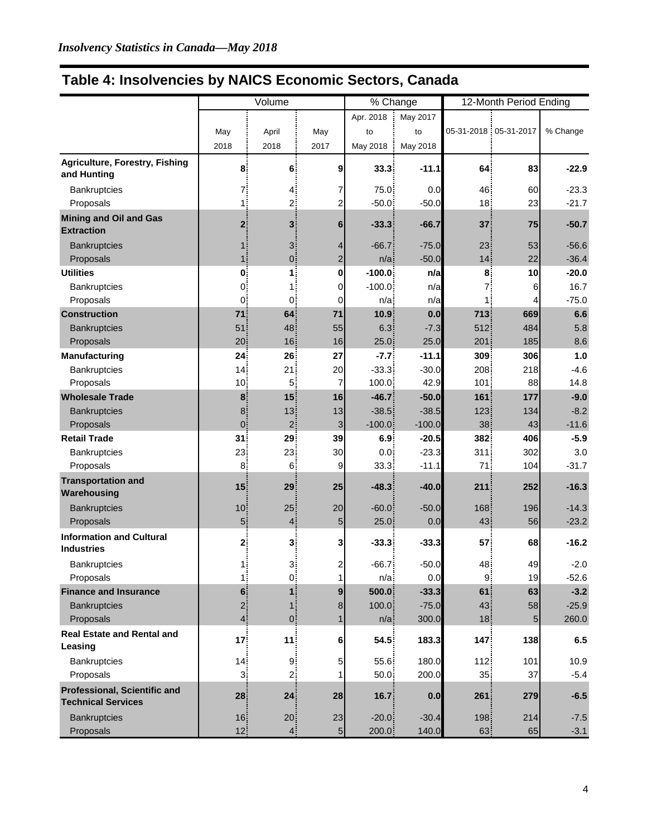| Table 4: Insolvencies by NAICS Economic Sectors, Canada |  |  |  |  |
|---------------------------------------------------------|--|--|--|--|
|---------------------------------------------------------|--|--|--|--|

|                                                           | Volume             |                    |                | % Change          |          | 12-Month Period Ending |                       |          |
|-----------------------------------------------------------|--------------------|--------------------|----------------|-------------------|----------|------------------------|-----------------------|----------|
|                                                           |                    |                    |                | Apr. 2018         | May 2017 |                        |                       |          |
|                                                           | May                | April              | May            | to                | to       |                        | 05-31-2018 05-31-2017 | % Change |
|                                                           | 2018               | 2018               | 2017           | May 2018          | May 2018 |                        |                       |          |
| Agriculture, Forestry, Fishing                            | 8                  | 6                  | 9              | 33.3              | $-11.1$  | 64                     | 83                    | $-22.9$  |
| and Hunting                                               |                    |                    |                |                   |          |                        |                       |          |
| Bankruptcies                                              | 7¦                 | 4.                 | 7              | 75.0              | 0.0      | 46                     | 60                    | $-23.3$  |
| Proposals                                                 | 1                  | $2^{\frac{1}{2}}$  | 2              | $-50.0$           | $-50.0$  | 18                     | 23                    | $-21.7$  |
| <b>Mining and Oil and Gas</b><br><b>Extraction</b>        | $\mathbf{2}$       | 3 <sup>2</sup>     | 6              | $-33.3$           | $-66.7$  | 37                     | 75                    | $-50.7$  |
| <b>Bankruptcies</b>                                       | 1 :                | 3.                 | 4              | $-66.7$           | $-75.0$  | 23                     | 53                    | $-56.6$  |
| Proposals                                                 | $\mathbf{1}$       | $\mathbf{0}$       | $\overline{2}$ | $n/a$ :           | $-50.0$  | 14                     | 22                    | $-36.4$  |
| <b>Utilities</b>                                          | $\mathbf{0}$       | 1:                 | 0              | $-100.0$          | n/a      | 8                      | 10                    | $-20.0$  |
| Bankruptcies                                              | $\overline{0}$     | 1:                 | 0              | $-100.0$          | n/a      | 7                      | 6                     | 16.7     |
| Proposals                                                 | $\overline{0}$     | 0.                 | 0              | $n/a$ :           | n/a      | 1:                     | 4                     | $-75.0$  |
| <b>Construction</b>                                       | 71.                | 64                 | 71             | 10.9 <sub>1</sub> | 0.0      | 713                    | 669                   | 6.6      |
| <b>Bankruptcies</b>                                       | 51                 | 48                 | 55             | 6.3.              | $-7.3$   | 512                    | 484                   | 5.8      |
| Proposals                                                 | 20:                | 16                 | 16             | 25.0              | 25.0     | 201                    | 185                   | 8.6      |
| Manufacturing                                             | 24                 | 26                 | 27             | $-7.7$            | $-11.1$  | 309                    | 306                   | 1.0      |
| Bankruptcies                                              | 14 <sup>1</sup>    | 21                 | 20             | $-33.3$           | $-30.0$  | 208                    | 218                   | $-4.6$   |
| Proposals                                                 | 10 <sub>1</sub>    | 5                  | 7              | 100.0             | 42.9     | 101                    | 88                    | 14.8     |
| <b>Wholesale Trade</b>                                    | 8                  | 15                 | 16             | $-46.7$           | $-50.0$  | 161                    | 177                   | $-9.0$   |
| <b>Bankruptcies</b>                                       | 8 <sup>1</sup>     | 13                 | 13             | $-38.5$           | $-38.5$  | 123                    | 134                   | $-8.2$   |
| Proposals                                                 | 0.                 | 2.                 | 3              | $-100.0$          | $-100.0$ | 38                     | 43                    | $-11.6$  |
| <b>Retail Trade</b>                                       | 31                 | 29                 | 39             | 6.9               | $-20.5$  | 382                    | 406                   | $-5.9$   |
| Bankruptcies                                              | 23                 | 23                 | 30             | 0.0               | $-23.3$  | 311                    | 302                   | 3.0      |
| Proposals                                                 | 8                  | 6                  | 9              | 33.3              | $-11.1$  | 71                     | 104                   | $-31.7$  |
| <b>Transportation and</b><br>Warehousing                  | 15 <sub>1</sub>    | 29                 | 25             | $-48.3$           | $-40.0$  | 211                    | 252                   | $-16.3$  |
| <b>Bankruptcies</b>                                       | 10 <sub>1</sub>    | 25                 | 20             | $-60.0$           | $-50.0$  | 168                    | 196                   | $-14.3$  |
| Proposals                                                 | 5 <sup>1</sup>     | $\overline{4}$     | 5              | 25.0              | 0.0      | 43                     | 56                    | $-23.2$  |
| <b>Information and Cultural</b><br><b>Industries</b>      | 2 <sub>1</sub>     | 3                  | 3              | $-33.3$           | $-33.3$  | 57                     | 68                    | $-16.2$  |
| Bankruptcies                                              |                    | ∙?                 | 2              | $-66.7$           | $-50.0$  | 48                     | 49                    | $-2.0$   |
| Proposals                                                 | 1ļ<br>$\mathbf{1}$ | $\mathbf{0}$       | $\mathbf{1}$   | n/a               | 0.0      | 9                      | 19                    | -52.6    |
| <b>Finance and Insurance</b>                              | 6 <sup>1</sup>     | $\mathbf{1}$       | 9              | 500.0             | $-33.3$  | 61                     | 63                    | $-3.2$   |
| <b>Bankruptcies</b>                                       | 2 <sub>1</sub>     |                    | 8              | 100.0             | $-75.0$  | 43                     | 58                    | $-25.9$  |
| Proposals                                                 | 4 <sup>1</sup>     | 18<br>$\mathbf{0}$ |                | n/a               | 300.0    | 18                     | 5                     | 260.0    |
| <b>Real Estate and Rental and</b><br>Leasing              | 17 <sub>1</sub>    | 11                 | 6              | 54.5              | 183.3    | 147                    | 138                   | $6.5\,$  |
|                                                           |                    |                    |                |                   |          |                        |                       |          |
| Bankruptcies                                              | 14                 | 9.                 | 5              | 55.6              | 180.0    | 112                    | 101                   | 10.9     |
| Proposals                                                 | 3 <sub>1</sub>     | 2:                 |                | 50.0              | 200.0    | 35                     | 37                    | $-5.4$   |
| Professional, Scientific and<br><b>Technical Services</b> | 28                 | 24                 | 28             | 16.7              | 0.0      | 261                    | 279                   | $-6.5$   |
| <b>Bankruptcies</b>                                       | 16                 | 20                 | 23             | $-20.0$           | $-30.4$  | 198                    | 214                   | $-7.5$   |
| Proposals                                                 | 12.                | $\bf 4$            | $\overline{5}$ | 200.0             | 140.0    | 63                     | 65                    | $-3.1$   |